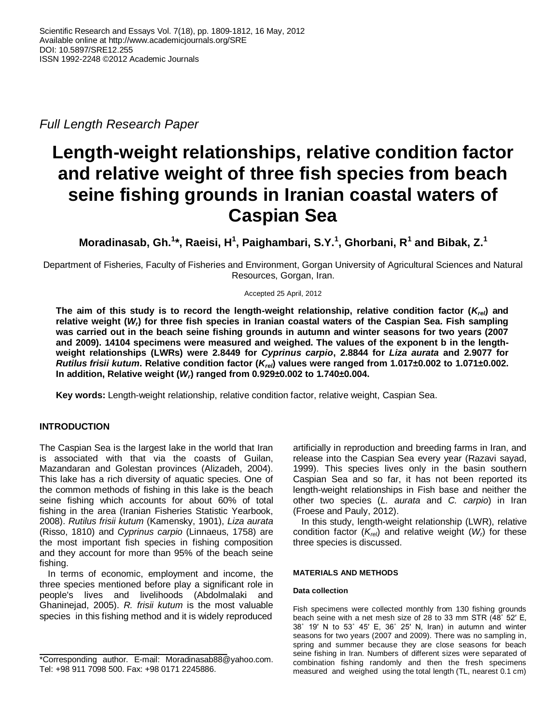*Full Length Research Paper*

# **Length-weight relationships, relative condition factor and relative weight of three fish species from beach seine fishing grounds in Iranian coastal waters of Caspian Sea**

**Moradinasab, Gh.<sup>1</sup> \*, Raeisi, H<sup>1</sup> , Paighambari, S.Y.<sup>1</sup> , Ghorbani, R<sup>1</sup> and Bibak, Z.<sup>1</sup>**

Department of Fisheries, Faculty of Fisheries and Environment, Gorgan University of Agricultural Sciences and Natural Resources, Gorgan, Iran.

Accepted 25 April, 2012

**The aim of this study is to record the length-weight relationship, relative condition factor (***Krel***) and relative weight (***Wr***) for three fish species in Iranian coastal waters of the Caspian Sea. Fish sampling was carried out in the beach seine fishing grounds in autumn and winter seasons for two years (2007 and 2009). 14104 specimens were measured and weighed. The values of the exponent b in the lengthweight relationships (LWRs) were 2.8449 for** *Cyprinus carpio***, 2.8844 for** *Liza aurata* **and 2.9077 for** *Rutilus frisii kutum***. Relative condition factor (***Krel***) values were ranged from 1.017±0.002 to 1.071±0.002. In addition, Relative weight (***Wr***) ranged from 0.929±0.002 to 1.740±0.004.** 

**Key words:** Length-weight relationship, relative condition factor, relative weight, Caspian Sea.

## **INTRODUCTION**

The Caspian Sea is the largest lake in the world that Iran is associated with that via the coasts of Guilan, Mazandaran and Golestan provinces (Alizadeh, 2004). This lake has a rich diversity of aquatic species. One of the common methods of fishing in this lake is the beach seine fishing which accounts for about 60% of total fishing in the area (Iranian Fisheries Statistic Yearbook, 2008). *Rutilus frisii kutum* (Kamensky, 1901), *Liza aurata* (Risso, 1810) and *Cyprinus carpio* (Linnaeus, 1758) are the most important fish species in fishing composition and they account for more than 95% of the beach seine fishing.

In terms of economic, employment and income, the three species mentioned before play a significant role in people's lives and livelihoods (Abdolmalaki and Ghaninejad, 2005). *R. frisii kutum* is the most valuable species in this fishing method and it is widely reproduced artificially in reproduction and breeding farms in Iran, and release into the Caspian Sea every year (Razavi sayad, 1999). This species lives only in the basin southern Caspian Sea and so far, it has not been reported its length-weight relationships in Fish base and neither the other two species (*L. aurata* and *C. carpio*) in Iran (Froese and Pauly, 2012).

In this study, length-weight relationship (LWR), relative condition factor  $(K_{rel})$  and relative weight  $(W<sub>r</sub>)$  for these three species is discussed.

## **MATERIALS AND METHODS**

#### **Data collection**

Fish specimens were collected monthly from 130 fishing grounds beach seine with a net mesh size of 28 to 33 mm STR (48˚ 52′ E, 38˚ 19′ N to 53˚ 45′ E, 36˚ 25′ N, Iran) in autumn and winter seasons for two years (2007 and 2009). There was no sampling in, spring and summer because they are close seasons for beach seine fishing in Iran. Numbers of different sizes were separated of combination fishing randomly and then the fresh specimens measured and weighed using the total length (TL, nearest 0.1 cm)

<sup>\*</sup>Corresponding author. E-mail: Moradinasab88@yahoo.com. Tel: +98 911 7098 500. Fax: +98 0171 2245886.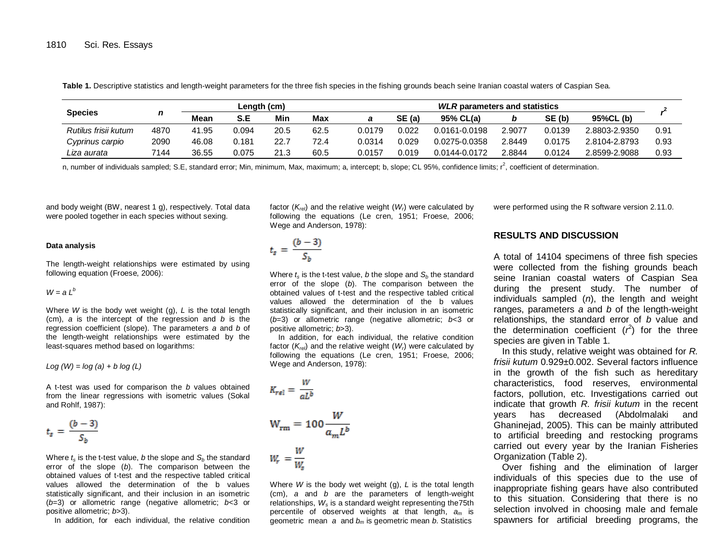**Species** *n* **Length (cm)** *WLR* **parameters and statistics** *r* **2 Mean S.E Min Max** *a* **SE (a) 95% CL(a)** *b* **SE (b) 95%CL (b)** *Rutilus frisii kutum* 4870 41.95 0.094 20.5 62.5 0.0179 0.022 0.0161-0.0198 2.9077 0.0139 2.8803-2.9350 0.91 *Cyprinus carpio* 2090 46.08 0.181 22.7 72.4 0.0314 0.029 0.0275-0.0358 2.8449 0.0175 2.8104-2.8793 0.93 *Liza aurata* 7144 36.55 0.075 21.3 60.5 0.0157 0.019 0.0144-0.0172 2.8844 0.0124 2.8599-2.9088 0.93

**Table 1.** Descriptive statistics and length-weight parameters for the three fish species in the fishing grounds beach seine Iranian coastal waters of Caspian Sea.

n, number of individuals sampled; S.E, standard error; Min, minimum, Max, maximum; a, intercept; b, slope; CL 95%, confidence limits; r<sup>2</sup>, coefficient of determination.

and body weight (BW, nearest 1 g), respectively. Total data were pooled together in each species without sexing.

factor  $(K_{rel})$  and the relative weight  $(W<sub>l</sub>)$  were calculated by following the equations (Le cren, 1951; Froese, 2006; Wege and Anderson, 1978):

#### **Data analysis**

The length-weight relationships were estimated by using following equation (Froese, 2006):

#### $W = a l^b$

Where *W* is the body wet weight (g), *L* is the total length (cm), *a* is the intercept of the regression and *b* is the regression coefficient (slope). The parameters *a* and *b* of the length-weight relationships were estimated by the least-squares method based on logarithms:

*Log (W) = log (a) + b log (L)*

A t-test was used for comparison the *b* values obtained from the linear regressions with isometric values (Sokal and Rohlf, 1987):

$$
t_s = \frac{(b-3)}{S_b}
$$

Where  $t_s$  is the t-test value, *b* the slope and  $S_b$  the standard error of the slope (*b*). The comparison between the obtained values of t-test and the respective tabled critical values allowed the determination of the b values statistically significant, and their inclusion in an isometric (*b*=3) or allometric range (negative allometric; *b*<3 or positive allometric; *b*>3).

In addition, for each individual, the relative condition

$$
t_s = \frac{(b-3)}{S_b}
$$

Where  $t_s$  is the t-test value, *b* the slope and  $S_b$  the standard error of the slope (*b*). The comparison between the obtained values of t-test and the respective tabled critical values allowed the determination of the b values statistically significant, and their inclusion in an isometric (*b*=3) or allometric range (negative allometric; *b*<3 or positive allometric; *b*>3).

In addition, for each individual, the relative condition factor (*Krel*) and the relative weight (*Wr*) were calculated by following the equations (Le cren, 1951; Froese, 2006; Wege and Anderson, 1978):

$$
K_{rel} = \frac{W}{aL^b}
$$
  

$$
W_{rm} = 100 \frac{W}{a_m L^b}
$$
  

$$
W_r = \frac{W}{W_s}
$$

Where *W* is the body wet weight (g), *L* is the total length (cm), *a* and *b* are the parameters of length-weight relationships, *W<sup>s</sup>* is a standard weight representing the75th percentile of observed weights at that length, *a<sup>m</sup>* is geometric mean *a* and *b<sup>m</sup>* is geometric mean *b*. Statistics

were performed using the R software version 2.11.0.

## **RESULTS AND DISCUSSION**

A total of 14104 specimens of three fish species were collected from the fishing grounds beach seine Iranian coastal waters of Caspian Sea during the present study. The number of individuals sampled (*n*), the length and weight ranges, parameters *a* and *b* of the length-weight relationships, the standard error of *b* value and the determination coefficient  $(r^2)$  for the three species are given in Table 1.

In this study, relative weight was obtained for *R. frisii kutum* 0.929±0.002. Several factors influence in the growth of the fish such as hereditary characteristics, food reserves, environmental factors, pollution, etc. Investigations carried out indicate that growth *R. frisii kutum* in the recent years has decreased (Abdolmalaki and Ghaninejad, 2005). This can be mainly attributed to artificial breeding and restocking programs carried out every year by the Iranian Fisheries Organization (Table 2).

Over fishing and the elimination of larger individuals of this species due to the use of inappropriate fishing gears have also contributed to this situation. Considering that there is no selection involved in choosing male and female spawners for artificial breeding programs, the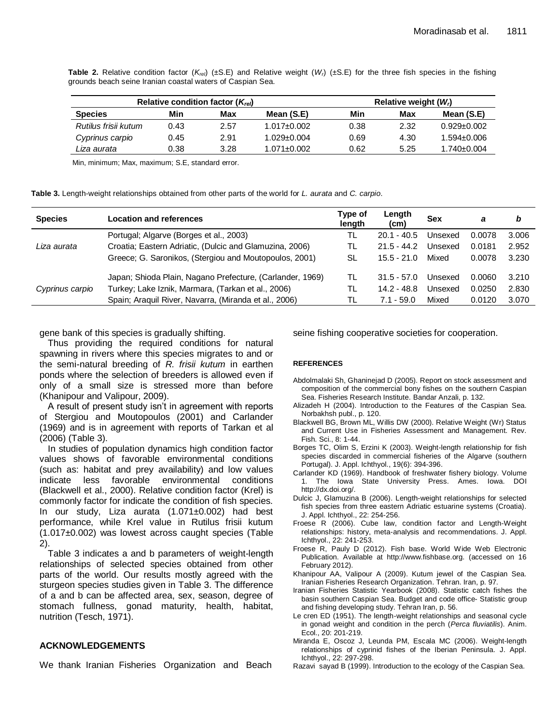**Table 2.** Relative condition factor  $(K_{rel})$  (±S.E) and Relative weight  $(W_l)$  (±S.E) for the three fish species in the fishing grounds beach seine Iranian coastal waters of Caspian Sea.

| Relative condition factor $(K_{rel})$ |      |      |                   | Relative weight $(Wi)$ |      |                   |  |
|---------------------------------------|------|------|-------------------|------------------------|------|-------------------|--|
| <b>Species</b>                        | Min  | Max  | Mean (S.E)        | Min                    | Max  | Mean (S.E)        |  |
| Rutilus frisii kutum                  | 0.43 | 2.57 | $1.017 \pm 0.002$ | 0.38                   | 2.32 | $0.929 \pm 0.002$ |  |
| Cyprinus carpio                       | 0.45 | 2.91 | $1.029 \pm 0.004$ | 0.69                   | 4.30 | $1.594 \pm 0.006$ |  |
| Liza aurata                           | 0.38 | 3.28 | 1.071±0.002       | 0.62                   | 5.25 | $1.740 \pm 0.004$ |  |

Min, minimum; Max, maximum; S.E, standard error.

**Table 3.** Length-weight relationships obtained from other parts of the world for *L. aurata* and *C. carpio*.

| <b>Species</b>  | <b>Location and references</b>                            | Type of<br>length | Length<br>(cm) | <b>Sex</b> | а      | b     |
|-----------------|-----------------------------------------------------------|-------------------|----------------|------------|--------|-------|
| Liza aurata     | Portugal; Algarve (Borges et al., 2003)                   | TL                | $20.1 - 40.5$  | Unsexed    | 0.0078 | 3.006 |
|                 | Croatia; Eastern Adriatic, (Dulcic and Glamuzina, 2006)   | TL                | $21.5 - 44.2$  | Unsexed    | 0.0181 | 2.952 |
|                 | Greece; G. Saronikos, (Stergiou and Moutopoulos, 2001)    | SL                | $15.5 - 21.0$  | Mixed      | 0.0078 | 3.230 |
| Cyprinus carpio | Japan; Shioda Plain, Nagano Prefecture, (Carlander, 1969) | TL                | $31.5 - 57.0$  | Unsexed    | 0.0060 | 3.210 |
|                 | Turkey; Lake Iznik, Marmara, (Tarkan et al., 2006)        | TL                | 14.2 - 48.8    | Unsexed    | 0.0250 | 2.830 |
|                 | Spain; Araquil River, Navarra, (Miranda et al., 2006)     | TL                | $7.1 - 59.0$   | Mixed      | 0.0120 | 3.070 |

gene bank of this species is gradually shifting.

Thus providing the required conditions for natural spawning in rivers where this species migrates to and or the semi-natural breeding of *R. frisii kutum* in earthen ponds where the selection of breeders is allowed even if only of a small size is stressed more than before (Khanipour and Valipour, 2009).

A result of present study isn't in agreement with reports of Stergiou and Moutopoulos (2001) and Carlander (1969) and is in agreement with reports of Tarkan et al (2006) (Table 3).

In studies of population dynamics high condition factor values shows of favorable environmental conditions (such as: habitat and prey availability) and low values indicate less favorable environmental conditions (Blackwell et al., 2000). Relative condition factor (Krel) is commonly factor for indicate the condition of fish species. In our study, Liza aurata (1.071±0.002) had best performance, while Krel value in Rutilus frisii kutum (1.017±0.002) was lowest across caught species (Table 2).

Table 3 indicates a and b parameters of weight-length relationships of selected species obtained from other parts of the world. Our results mostly agreed with the sturgeon species studies given in Table 3. The difference of a and b can be affected area, sex, season, degree of stomach fullness, gonad maturity, health, habitat, nutrition (Tesch, 1971).

### **ACKNOWLEDGEMENTS**

We thank Iranian Fisheries Organization and Beach

seine fishing cooperative societies for cooperation.

#### **REFERENCES**

- Abdolmalaki Sh, Ghaninejad D (2005). Report on stock assessment and composition of the commercial bony fishes on the southern Caspian Sea. Fisheries Research Institute. Bandar Anzali, p. 132.
- Alizadeh H (2004). Introduction to the Features of the Caspian Sea. Norbakhsh publ., p. 120.
- Blackwell BG, Brown ML, Willis DW (2000). Relative Weight (Wr) Status and Current Use in Fisheries Assessment and Management. Rev. Fish. Sci., 8: 1-44.
- Borges TC, Olim S, Erzini K (2003). Weight-length relationship for fish species discarded in commercial fisheries of the Algarve (southern Portugal). J. Appl. Ichthyol., 19(6): 394-396.
- Carlander KD (1969). Handbook of freshwater fishery biology. Volume 1. The Iowa State University Press. Ames. Iowa. DOI [http://dx.doi.org/.](http://dx.doi.org/)
- Dulcic J, Glamuzina B (2006). Length-weight relationships for selected fish species from three eastern Adriatic estuarine systems (Croatia). J. Appl. Ichthyol., 22: 254-256.
- Froese R (2006). Cube law, condition factor and Length-Weight relationships: history, meta-analysis and recommendations. J. Appl. Ichthyol., 22: 241-253.
- Froese R, Pauly D (2012). Fish base. World Wide Web Electronic Publication. Available at http://www.fishbase.org. (accessed on 16 February 2012).
- Khanipour AA, Valipour A (2009). Kutum jewel of the Caspian Sea. Iranian Fisheries Research Organization. Tehran. Iran, p. 97.
- Iranian Fisheries Statistic Yearbook (2008). Statistic catch fishes the basin southern Caspian Sea. Budget and code office- Statistic group and fishing developing study. Tehran Iran, p. 56.
- Le cren ED (1951). The length-weight relationships and seasonal cycle in gonad weight and condition in the perch (*Perca fluviatilis*). Anim. Ecol., 20: 201-219.
- Miranda E, Oscoz J, Leunda PM, Escala MC (2006). Weight-length relationships of cyprinid fishes of the Iberian Peninsula. J. Appl. Ichthyol., 22: 297-298.
- Razavi sayad B (1999). Introduction to the ecology of the Caspian Sea.